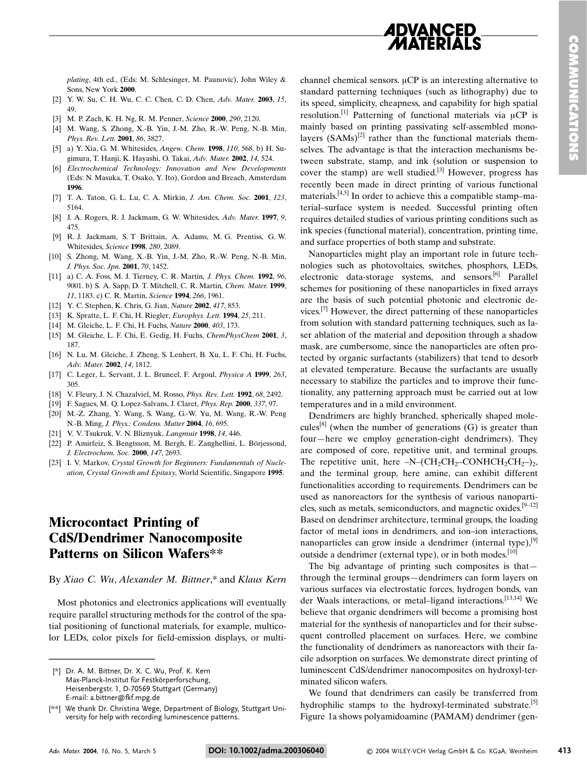

plating, 4th ed., (Eds: M. Schlesinger, M. Paunovic), John Wiley & Sons New York 2000

- [2] Y. W. Su, C. H. Wu, C. C. Chen, C. D. Chen, Adv. Mater. 2003, 15, 49
- [3] M. P. Zach, K. H. Ng, R. M. Penner, Science 2000, 290, 2120.
- [4] M. Wang, S. Zhong, X.-B. Yin, J.-M. Zho, R.-W. Peng, N.-B. Min, Phys. Rev. Lett. 2001, 86, 3827.
- [5] a) Y. Xia, G. M. Whitesides, Angew. Chem. 1998, 110, 568. b) H. Sugimura, T. Hanji, K. Hayashi, O. Takai, Adv. Mater. 2002, 14, 524.
- [6] Electrochemical Technology: Innovation and New Developments (Eds: N. Masuka, T. Osako, Y. Ito), Gordon and Breach, Amsterdam 1996
- [7] T. A. Taton, G. L. Lu, C. A. Mirkin, J. Am. Chem. Soc. 2001, 123, 5164.
- [8] J. A. Rogers, R. J. Jackmam, G. W. Whitesides, Adv. Mater. 1997, 9, 475.
- [9] R. J. Jackmam, S. T. Brittain, A. Adams, M. G. Prentiss, G. W. Whitesides Science 1998 280 2089.
- [10] S. Zhong, M. Wang, X.-B. Yin, J.-M. Zho, R.-W. Peng, N.-B. Min, J. Phys. Soc. Jpn. 2001, 70, 1452.
- [11] a) C. A. Foss, M. J. Tierney, C. R. Martin, J. Phys. Chem. 1992, 96, 9001. b) S. A. Sapp, D. T. Mitchell, C. R. Martin, Chem. Mater. 1999, 11, 1183. c) C. R. Martin, Science 1994, 266, 1961.
- [12] Y. C. Stephen, K. Chris, G. Jian, Nature 2002, 417, 853.
- [13] K. Spratte, L. F. Chi, H. Riegler, *Europhys. Lett.* **1994**, 25, 211.
- [14] M. Gleiche, L. F. Chi, H. Fuchs, Nature 2000, 403, 173.
- [15] M. Gleiche, L. F. Chi, E. Gedig, H. Fuchs, ChemPhysChem 2001, 3, 187.
- [16] N. Lu, M. Gleiche, J. Zheng, S. Lenhert, B. Xu, L. F. Chi, H. Fuchs, Adv. Mater. 2002, 14, 1812.
- [17] C. Leger, L. Servant, J. L. Bruneel, F. Argoul, Physica A 1999, 263,  $305.$
- [18] V. Fleury, J. N. Chazalviel, M. Rosso, Phys. Rev. Lett. 1992, 68, 2492.
- [19] F. Sagues, M. Q. Lopez-Salvans, J. Claret, Phys. Rep. 2000, 337, 97.
- [20] M.-Z. Zhang, Y. Wang, S. Wang, G.-W. Yu, M. Wang, R.-W. Peng N.-B. Ming, J. Phys.: Condens. Matter 2004, 16, 695.
- [21] V. V. Tsukruk, V. N. Bliznyuk, Langmuir 1998, 14, 446.
- [22] P. Amirfeiz, S. Bengtsson, M. Bergh, E. Zanghellini, L. Börjessond, J. Electrochem. Soc. 2000, 147, 2693.
- [23] I. V. Markov, Crystal Growth for Beginners: Fundamentals of Nucleation, Crystal Growth and Epitaxy, World Scientific, Singapore 1995.

## **Microcontact Printing of CdS/Dendrimer Nanocomposite Patterns on Silicon Wafers\*\***

### By Xiao C. Wu, Alexander M. Bittner,\* and Klaus Kern

Most photonics and electronics applications will eventually require parallel structuring methods for the control of the spatial positioning of functional materials, for example, multicolor LEDs, color pixels for field-emission displays, or multichannel chemical sensors.  $\mu CP$  is an interesting alternative to standard patterning techniques (such as lithography) due to its speed, simplicity, cheapness, and capability for high spatial resolution.<sup>[1]</sup> Patterning of functional materials via  $\mu CP$  is mainly based on printing passivating self-assembled monolayers  $(SAMs)^{[2]}$  rather than the functional materials themselves. The advantage is that the interaction mechanisms between substrate, stamp, and ink (solution or suspension to cover the stamp) are well studied.<sup>[3]</sup> However, progress has recently been made in direct printing of various functional materials.  $[4,5]$  In order to achieve this a compatible stamp-material-surface system is needed. Successful printing often requires detailed studies of various printing conditions such as ink species (functional material), concentration, printing time, and surface properties of both stamp and substrate.

Nanoparticles might play an important role in future technologies such as photovoltaics, switches, phosphors, LEDs, electronic data-storage systems, and sensors.<sup>[6]</sup> Parallel schemes for positioning of these nanoparticles in fixed arrays are the basis of such potential photonic and electronic devices.<sup>[7]</sup> However, the direct patterning of these nanoparticles from solution with standard patterning techniques, such as laser ablation of the material and deposition through a shadow mask, are cumbersome, since the nanoparticles are often protected by organic surfactants (stabilizers) that tend to desorb at elevated temperature. Because the surfactants are usually necessary to stabilize the particles and to improve their functionality, any patterning approach must be carried out at low temperatures and in a mild environment.

Dendrimers are highly branched, spherically shaped molecules<sup>[8]</sup> (when the number of generations  $(G)$  is greater than four-here we employ generation-eight dendrimers). They are composed of core, repetitive unit, and terminal groups. The repetitive unit, here  $-N-(CH_2CH_2-CONHCH_2CH_2)$ , and the terminal group, here amine, can exhibit different functionalities according to requirements. Dendrimers can be used as nanoreactors for the synthesis of various nanoparticles, such as metals, semiconductors, and magnetic oxides.  $[9-12]$ Based on dendrimer architecture, terminal groups, the loading factor of metal ions in dendrimers, and ion-ion interactions, nanoparticles can grow inside a dendrimer (internal type),  $[9]$ outside a dendrimer (external type), or in both modes.<sup>[10]</sup>

The big advantage of printing such composites is thatthrough the terminal groups-dendrimers can form layers on various surfaces via electrostatic forces, hydrogen bonds, van der Waals interactions, or metal-ligand interactions.<sup>[13,14]</sup> We believe that organic dendrimers will become a promising host material for the synthesis of nanoparticles and for their subsequent controlled placement on surfaces. Here, we combine the functionality of dendrimers as nanoreactors with their facile adsorption on surfaces. We demonstrate direct printing of luminescent CdS/dendrimer nanocomposites on hydroxyl-terminated silicon wafers.

We found that dendrimers can easily be transferred from hydrophilic stamps to the hydroxyl-terminated substrate.<sup>[5]</sup> Figure 1a shows polyamidoamine (PAMAM) dendrimer (gen-

<sup>[\*]</sup> Dr. A. M. Bittner, Dr. X. C. Wu, Prof. K. Kern Max-Planck-Institut für Festkörperforschung. Heisenbergstr. 1, D-70569 Stuttgart (Germany) E-mail: a.bittner@fkf.mpg.de

<sup>[\*\*]</sup> We thank Dr. Christina Wege, Department of Biology, Stuttgart University for help with recording luminescence patterns.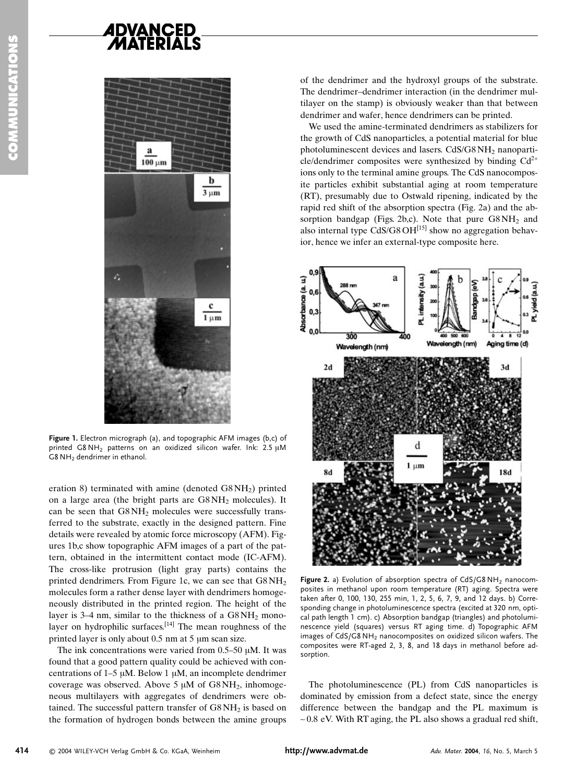

**Figure 1.** Electron micrograph (a), and topographic AFM images (b,c) of printed G8NH $_2$  patterns on an oxidized silicon wafer. Ink: 2.5  $\mu$ M  $\overline{\textsf{G8}}$  NH<sub>2</sub> dendrimer in ethanol.

eration 8) terminated with amine (denoted  $GSNH<sub>2</sub>$ ) printed on a large area (the bright parts are  $G8NH_2$  molecules). It can be seen that  $G8NH_2$  molecules were successfully transferred to the substrate, exactly in the designed pattern. Fine details were revealed by atomic force microscopy (AFM). Figures 1b,c show topographic AFM images of a part of the pattern, obtained in the intermittent contact mode (IC-AFM). The cross-like protrusion (light gray parts) contains the printed dendrimers. From Figure 1c, we can see that  $GSNH_2$ molecules form a rather dense layer with dendrimers homogeneously distributed in the printed region. The height of the layer is 3–4 nm, similar to the thickness of a  $G8NH_2$  monolayer on hydrophilic surfaces.<sup>[14]</sup> The mean roughness of the printed layer is only about  $0.5 \text{ nm}$  at  $5 \mu \text{m}$  scan size.

The ink concentrations were varied from  $0.5-50 \mu M$ . It was found that a good pattern quality could be achieved with concentrations of  $1-5 \mu M$ . Below 1  $\mu$ M, an incomplete dendrimer coverage was observed. Above 5  $\mu$ M of G8NH<sub>2</sub>, inhomogeneous multilayers with aggregates of dendrimers were obtained. The successful pattern transfer of  $G8\,\mathrm{NH}_2$  is based on the formation of hydrogen bonds between the amine groups

of the dendrimer and the hydroxyl groups of the substrate. The dendrimer-dendrimer interaction (in the dendrimer multilayer on the stamp) is obviously weaker than that between dendrimer and wafer, hence dendrimers can be printed.

We used the amine-terminated dendrimers as stabilizers for the growth of CdS nanoparticles, a potential material for blue photoluminescent devices and lasers.  $CdS/G8NH_2$  nanoparticle/dendrimer composites were synthesized by binding  $Cd^{2+}$ ions only to the terminal amine groups. The CdS nanocomposite particles exhibit substantial aging at room temperature (RT), presumably due to Ostwald ripening, indicated by the rapid red shift of the absorption spectra (Fig. 2a) and the absorption bandgap (Figs. 2b,c). Note that pure  $G8NH_2$  and also internal type CdS/G8  $OH^{[15]}$  show no aggregation behavior, hence we infer an external-type composite here.



Figure 2. a) Evolution of absorption spectra of CdS/G8 NH<sub>2</sub> nanocomposites in methanol upon room temperature (RT) aging. Spectra were taken after 0, 100, 130, 255 min, 1, 2, 5, 6, 7, 9, and 12 days. b) Corresponding change in photoluminescence spectra (excited at 320 nm, optical path length 1 cm). c) Absorption bandgap (triangles) and photoluminescence yield (squares) versus RT aging time. d) Topographic AFM images of  ${\sf CdS/G8\,NH_2}$  nanocomposites on oxidized silicon wafers. The composites were RT-aged 2, 3, 8, and 18 days in methanol before adsorption.

The photoluminescence (PL) from CdS nanoparticles is dominated by emission from a defect state, since the energy difference between the bandgap and the PL maximum is  $\sim$  0.8 eV. With RT aging, the PL also shows a gradual red shift,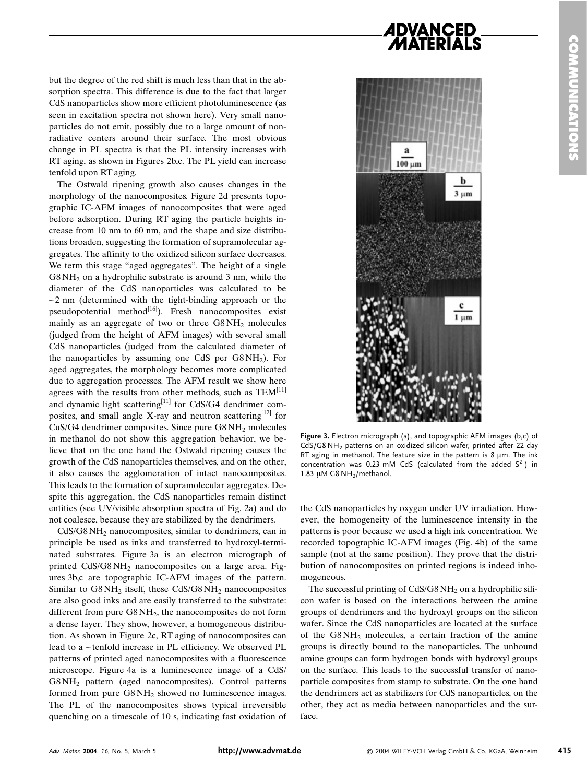## DVANCED

but the degree of the red shift is much less than that in the absorption spectra. This difference is due to the fact that larger CdS nanoparticles show more efficient photoluminescence (as seen in excitation spectra not shown here). Very small nanoparticles do not emit, possibly due to a large amount of nonradiative centers around their surface. The most obvious change in PL spectra is that the PL intensity increases with RT aging, as shown in Figures 2b,c. The PL yield can increase tenfold upon RT aging.

The Ostwald ripening growth also causes changes in the morphology of the nanocomposites. Figure 2d presents topographic IC-AFM images of nanocomposites that were aged before adsorption. During RT aging the particle heights increase from 10 nm to 60 nm, and the shape and size distributions broaden, suggesting the formation of supramolecular aggregates. The affinity to the oxidized silicon surface decreases. We term this stage "aged aggregates". The height of a single  $GSNH<sub>2</sub>$  on a hydrophilic substrate is around 3 nm, while the diameter of the CdS nanoparticles was calculated to be  $\sim$  2 nm (determined with the tight-binding approach or the pseudopotential method<sup>[16]</sup>). Fresh nanocomposites exist mainly as an aggregate of two or three  $G8NH_2$  molecules (judged from the height of AFM images) with several small CdS nanoparticles (judged from the calculated diameter of the nanoparticles by assuming one CdS per  $G8NH<sub>2</sub>$ ). For aged aggregates, the morphology becomes more complicated due to aggregation processes. The AFM result we show here agrees with the results from other methods, such as  $TEM^{[11]}$ and dynamic light scattering<sup>[11]</sup> for CdS/G4 dendrimer composites, and small angle X-ray and neutron scattering<sup>[12]</sup> for  $CuS/G4$  dendrimer composites. Since pure  $G8NH<sub>2</sub>$  molecules in methanol do not show this aggregation behavior, we believe that on the one hand the Ostwald ripening causes the growth of the CdS nanoparticles themselves, and on the other, it also causes the agglomeration of intact nanocomposites. This leads to the formation of supramolecular aggregates. Despite this aggregation, the CdS nanoparticles remain distinct entities (see UV/visible absorption spectra of Fig. 2a) and do not coalesce, because they are stabilized by the dendrimers.

 $CdS/G8NH<sub>2</sub>$  nanocomposites, similar to dendrimers, can in principle be used as inks and transferred to hydroxyl-terminated substrates. Figure 3a is an electron micrograph of printed  $CdS/G8NH<sub>2</sub>$  nanocomposites on a large area. Figures 3b, c are topographic IC-AFM images of the pattern. Similar to  $G8NH_2$  itself, these  $CdS/G8NH_2$  nanocomposites are also good inks and are easily transferred to the substrate: different from pure  $G8NH_2$ , the nanocomposites do not form a dense layer. They show, however, a homogeneous distribution. As shown in Figure 2c, RT aging of nanocomposites can lead to a ~tenfold increase in PL efficiency. We observed PL patterns of printed aged nanocomposites with a fluorescence microscope. Figure 4a is a luminescence image of a CdS/  $GSNH<sub>2</sub>$  pattern (aged nanocomposites). Control patterns formed from pure  $G8NH_2$  showed no luminescence images. The PL of the nanocomposites shows typical irreversible quenching on a timescale of 10 s, indicating fast oxidation of



Figure 3. Electron micrograph (a), and topographic AFM images (b,c) of  $\mathsf{CdS/G8}\,\mathsf{NH}_2$  patterns on an oxidized silicon wafer, printed after 22 day RT aging in methanol. The feature size in the pattern is 8  $\mu$ m. The ink concentration was 0.23 mM CdS (calculated from the added  $S^{2-}$ ) in 1.83  $\mu$ M G8 NH<sub>2</sub>/methanol.

the CdS nanoparticles by oxygen under UV irradiation. However, the homogeneity of the luminescence intensity in the patterns is poor because we used a high ink concentration. We recorded topographic IC-AFM images (Fig. 4b) of the same sample (not at the same position). They prove that the distribution of nanocomposites on printed regions is indeed inhomogeneous.

The successful printing of  $CdS/G8NH_2$  on a hydrophilic silicon wafer is based on the interactions between the amine groups of dendrimers and the hydroxyl groups on the silicon wafer. Since the CdS nanoparticles are located at the surface of the  $G8NH_2$  molecules, a certain fraction of the amine groups is directly bound to the nanoparticles. The unbound amine groups can form hydrogen bonds with hydroxyl groups on the surface. This leads to the successful transfer of nanoparticle composites from stamp to substrate. On the one hand the dendrimers act as stabilizers for CdS nanoparticles, on the other, they act as media between nanoparticles and the surface.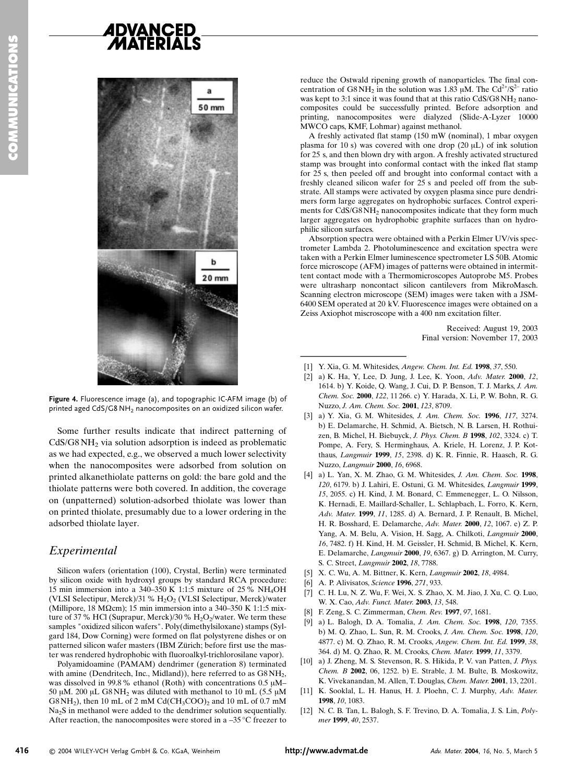# **ADVANCED**





Some further results indicate that indirect patterning of  $CdS/G8NH<sub>2</sub>$  via solution adsorption is indeed as problematic as we had expected, e.g., we observed a much lower selectivity when the nanocomposites were adsorbed from solution on printed alkanethiolate patterns on gold: the bare gold and the thiolate patterns were both covered. In addition, the coverage on (unpatterned) solution-adsorbed thiolate was lower than on printed thiolate, presumably due to a lower ordering in the adsorbed thiolate layer.

## Experimental

Silicon wafers (orientation (100), Crystal, Berlin) were terminated by silicon oxide with hydroxyl groups by standard RCA procedure: 15 min immersion into a  $340-350$  K 1:1:5 mixture of 25% NH<sub>4</sub>OH (VLSI Selectipur, Merck)/31 %  $H_2O_2$  (VLSI Selectipur, Merck)/water (Millipore, 18 M $\Omega$ cm); 15 min immersion into a 340–350 K 1:1:5 mixture of 37 % HCl (Suprapur, Merck)/30 %  $\rm H_2O_2$ /water. We term these samples "oxidized silicon wafers". Poly(dimethylsiloxane) stamps (Sylgard 184, Dow Corning) were formed on flat polystyrene dishes or on patterned silicon wafer masters (IBM Zürich; before first use the master was rendered hydrophobic with fluoroalkyl-trichlorosilane vapor).

Polyamidoamine (PAMAM) dendrimer (generation 8) terminated with amine (Dendritech, Inc., Midland)), here referred to as  ${\rm G8\,NH_{2},}$ was dissolved in 99.8% ethanol (Roth) with concentrations  $0.5 \mu M -$ 50 µM. 200 µL G8 NH<sub>2</sub> was diluted with methanol to 10 mL (5.5 µM  $G8NH<sub>2</sub>$ ), then 10 mL of 2 mM Cd(CH<sub>3</sub>COO)<sub>2</sub> and 10 mL of 0.7 mM  $Na<sub>2</sub>S$  in methanol were added to the dendrimer solution sequentially. After reaction, the nanocomposites were stored in a  $-35^{\circ}$ C freezer to

reduce the Ostwald ripening growth of nanoparticles. The final concentration of G8 NH<sub>2</sub> in the solution was 1.83  $\mu$ M. The Cd<sup>2+</sup>/S<sup>2-</sup> ratio was kept to 3:1 since it was found that at this ratio  $CdS/G8NH_2$  nanocomposites could be successfully printed. Before adsorption and printing, nanocomposites were dialyzed (Slide-A-Lyzer 10000 MWCO caps, KMF, Lohmar) against methanol.

A freshly activated flat stamp (150 mW (nominal), 1 mbar oxygen plasma for 10 s) was covered with one drop  $(20 \mu L)$  of ink solution for 25 s, and then blown dry with argon. A freshly activated structured stamp was brought into conformal contact with the inked flat stamp for 25 s, then peeled off and brought into conformal contact with a freshly cleaned silicon wafer for 25 s and peeled off from the substrate. All stamps were activated by oxygen plasma since pure dendrimers form large aggregates on hydrophobic surfaces. Control experiments for  $CdS/G8NH<sub>2</sub>$  nanocomposites indicate that they form much larger aggregates on hydrophobic graphite surfaces than on hydrophilic silicon surfaces.

Absorption spectra were obtained with a Perkin Elmer UV/vis spectrometer Lambda 2. Photoluminescence and excitation spectra were taken with a Perkin Elmer luminescence spectrometer LS 50B. Atomic force microscope (AFM) images of patterns were obtained in intermittent contact mode with a Thermomicroscopes Autoprobe M5. Probes were ultrasharp noncontact silicon cantilevers from MikroMasch. Scanning electron microscope (SEM) images were taken with a JSM-6400 SEM operated at 20 kV. Fluorescence images were obtained on a Zeiss Axiophot miscroscope with a 400 nm excitation filter. mers form large aggregates on<br>ments for CdS/G8NH<sub>2</sub> nanoco<br>larger aggregates on hydrophe<br>philic silicon surfaces.<br>Absorption spectra were obtt<br>trometer Lambda 2. Photolum<br>taken with a Perkin Elmer lumi<br>force microscope (AF

Received: August 19, 2003 Final version: November 17, 2003

- [1] Y. Xia, G. M. Whitesides, Angew. Chem. Int. Ed. 1998, 37, 550.
- [2] a) K. Ha, Y, Lee, D. Jung, J. Lee, K. Yoon, Adv. Mater. 2000, 12, 1614. b) Y. Koide, Q. Wang, J. Cui, D. P. Benson, T. J. Marks, J. Am. Chem. Soc. 2000, 122, 11 266. c) Y. Harada, X. Li, P. W. Bohn, R. G. Nuzzo, J. Am. Chem. Soc. 2001, 123, 8709.
- [3] a) Y. Xia, G. M. Whitesides, J. Am. Chem. Soc. 1996, 117, 3274. b) E. Delamarche, H. Schmid, A. Bietsch, N. B. Larsen, H. Rothuizen, B. Michel, H. Biebuyck, J. Phys. Chem. B 1998, 102, 3324. c) T. Pompe, A. Fery, S. Herminghaus, A. Kriele, H. Lorenz, J. P. Kotthaus, Langmuir 1999, 15, 2398. d) K. R. Finnie, R. Haasch, R. G. Nuzzo, Langmuir 2000, 16, 6968.
- [4] a) L. Yan, X. M. Zhao, G. M. Whitesides, J. Am. Chem. Soc. 1998, 120, 6179. b) J. Lahiri, E. Ostuni, G. M. Whitesides, Langmuir 1999, 15, 2055. c) H. Kind, J. M. Bonard, C. Emmenegger, L. O. Nilsson, K. Hernadi, E. Maillard-Schaller, L. Schlapbach, L. Forro, K. Kern, Adv. Mater. 1999, 11, 1285. d) A. Bernard, J. P. Renault, B. Michel, H. R. Bosshard, E. Delamarche, Adv. Mater. 2000, 12, 1067. e) Z. P. Yang, A. M. Belu, A. Vision, H. Sagg, A. Chilkoti, Langmuir 2000, 16, 7482. f) H. Kind, H. M. Geissler, H. Schmid, B. Michel, K. Kern, E. Delamarche, Langmuir 2000, 19, 6367. g) D. Arrington, M. Curry, S. C. Street, Langmuir 2002, 18, 7788.
- [5] X. C. Wu, A. M. Bittner, K. Kern, Langmuir 2002, 18, 4984.
- [6] A. P. Alivisatos, Science 1996, 271, 933.
- [7] C. H. Lu, N. Z. Wu, F. Wei, X. S. Zhao, X. M. Jiao, J. Xu, C. Q. Luo, W. X. Cao, Adv. Funct. Mater. 2003, 13, 548.
- [8] F. Zeng, S. C. Zimmerman, Chem. Rev. 1997, 97, 1681.
- [9] a) L. Balogh, D. A. Tomalia, J. Am. Chem. Soc. 1998, 120, 7355. b) M. Q. Zhao, L. Sun, R. M. Crooks, J. Am. Chem. Soc. 1998, 120, 4877. c) M. Q. Zhao, R. M. Crooks, Angew. Chem. Int. Ed. 1999, 38, 364. d) M. Q. Zhao, R. M. Crooks, Chem. Mater. 1999, 11, 3379.
- $[10]$  a) J. Zheng, M. S. Stevenson, R. S. Hikida, P. V. van Patten, J. Phys. Chem. B 2002, 06, 1252. b) E. Strable, J. M. Bulte, B. Moskowitz, K. Vivekanandan, M. Allen, T. Douglas, Chem. Mater. 2001, 13, 2201.
- [11] K. Sooklal, L. H. Hanus, H. J. Ploehn, C. J. Murphy, Adv. Mater. 1998. 10. 1083.
- [12] N. C. B. Tan, L. Balogh, S. F. Trevino, D. A. Tomalia, J. S. Lin, *Poly*mer 1999, 40, 2537.